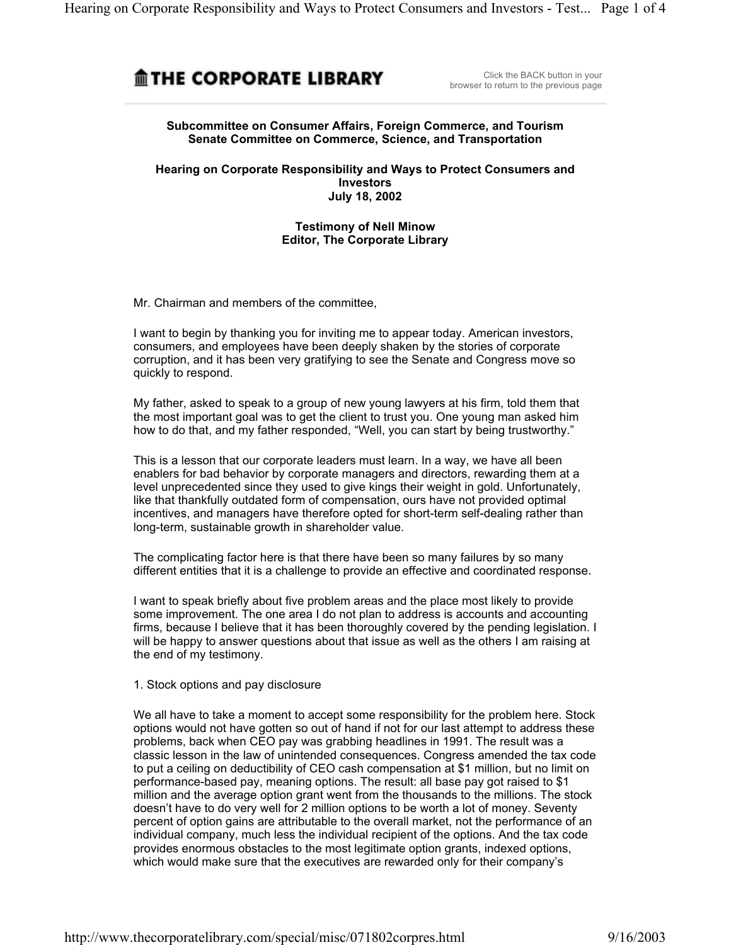# **MIHE CORPORATE LIBRARY**

Click the BACK button in your browser to return to the previous page

## **Subcommittee on Consumer Affairs, Foreign Commerce, and Tourism Senate Committee on Commerce, Science, and Transportation**

**Hearing on Corporate Responsibility and Ways to Protect Consumers and Investors July 18, 2002**

## **Testimony of Nell Minow Editor, The Corporate Library**

Mr. Chairman and members of the committee,

I want to begin by thanking you for inviting me to appear today. American investors, consumers, and employees have been deeply shaken by the stories of corporate corruption, and it has been very gratifying to see the Senate and Congress move so quickly to respond.

My father, asked to speak to a group of new young lawyers at his firm, told them that the most important goal was to get the client to trust you. One young man asked him how to do that, and my father responded, "Well, you can start by being trustworthy."

This is a lesson that our corporate leaders must learn. In a way, we have all been enablers for bad behavior by corporate managers and directors, rewarding them at a level unprecedented since they used to give kings their weight in gold. Unfortunately, like that thankfully outdated form of compensation, ours have not provided optimal incentives, and managers have therefore opted for short-term self-dealing rather than long-term, sustainable growth in shareholder value.

The complicating factor here is that there have been so many failures by so many different entities that it is a challenge to provide an effective and coordinated response.

I want to speak briefly about five problem areas and the place most likely to provide some improvement. The one area I do not plan to address is accounts and accounting firms, because I believe that it has been thoroughly covered by the pending legislation. I will be happy to answer questions about that issue as well as the others I am raising at the end of my testimony.

#### 1. Stock options and pay disclosure

We all have to take a moment to accept some responsibility for the problem here. Stock options would not have gotten so out of hand if not for our last attempt to address these problems, back when CEO pay was grabbing headlines in 1991. The result was a classic lesson in the law of unintended consequences. Congress amended the tax code to put a ceiling on deductibility of CEO cash compensation at \$1 million, but no limit on performance-based pay, meaning options. The result: all base pay got raised to \$1 million and the average option grant went from the thousands to the millions. The stock doesn't have to do very well for 2 million options to be worth a lot of money. Seventy percent of option gains are attributable to the overall market, not the performance of an individual company, much less the individual recipient of the options. And the tax code provides enormous obstacles to the most legitimate option grants, indexed options, which would make sure that the executives are rewarded only for their company's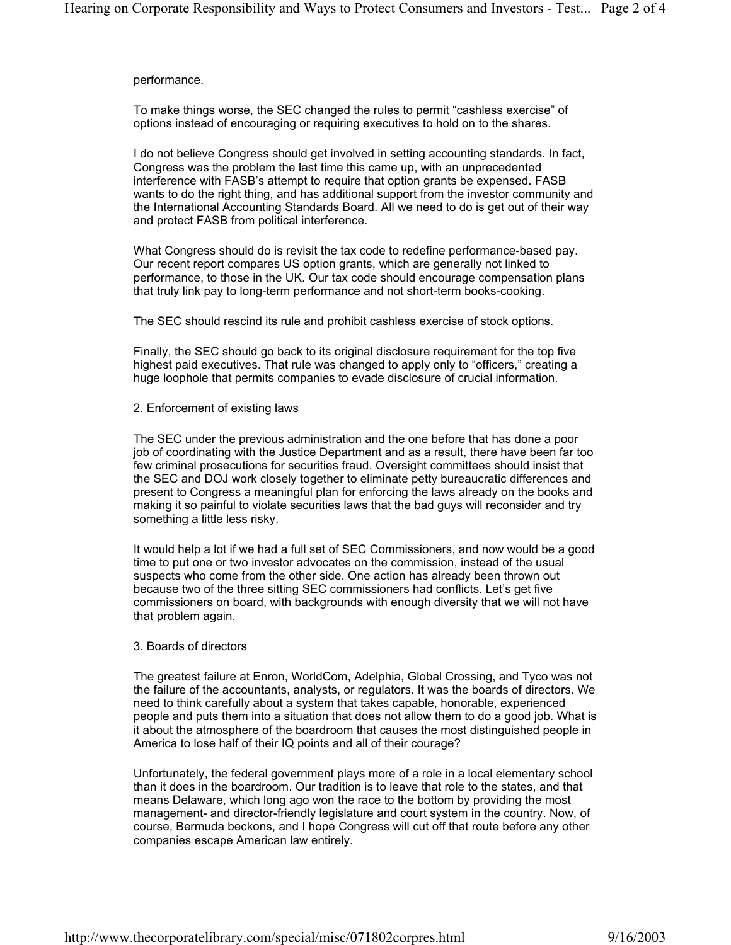#### performance.

To make things worse, the SEC changed the rules to permit "cashless exercise" of options instead of encouraging or requiring executives to hold on to the shares.

I do not believe Congress should get involved in setting accounting standards. In fact, Congress was the problem the last time this came up, with an unprecedented interference with FASB's attempt to require that option grants be expensed. FASB wants to do the right thing, and has additional support from the investor community and the International Accounting Standards Board. All we need to do is get out of their way and protect FASB from political interference.

What Congress should do is revisit the tax code to redefine performance-based pay. Our recent report compares US option grants, which are generally not linked to performance, to those in the UK. Our tax code should encourage compensation plans that truly link pay to long-term performance and not short-term books-cooking.

The SEC should rescind its rule and prohibit cashless exercise of stock options.

Finally, the SEC should go back to its original disclosure requirement for the top five highest paid executives. That rule was changed to apply only to "officers," creating a huge loophole that permits companies to evade disclosure of crucial information.

2. Enforcement of existing laws

The SEC under the previous administration and the one before that has done a poor job of coordinating with the Justice Department and as a result, there have been far too few criminal prosecutions for securities fraud. Oversight committees should insist that the SEC and DOJ work closely together to eliminate petty bureaucratic differences and present to Congress a meaningful plan for enforcing the laws already on the books and making it so painful to violate securities laws that the bad guys will reconsider and try something a little less risky.

It would help a lot if we had a full set of SEC Commissioners, and now would be a good time to put one or two investor advocates on the commission, instead of the usual suspects who come from the other side. One action has already been thrown out because two of the three sitting SEC commissioners had conflicts. Let's get five commissioners on board, with backgrounds with enough diversity that we will not have that problem again.

## 3. Boards of directors

The greatest failure at Enron, WorldCom, Adelphia, Global Crossing, and Tyco was not the failure of the accountants, analysts, or regulators. It was the boards of directors. We need to think carefully about a system that takes capable, honorable, experienced people and puts them into a situation that does not allow them to do a good job. What is it about the atmosphere of the boardroom that causes the most distinguished people in America to lose half of their IQ points and all of their courage?

Unfortunately, the federal government plays more of a role in a local elementary school than it does in the boardroom. Our tradition is to leave that role to the states, and that means Delaware, which long ago won the race to the bottom by providing the most management- and director-friendly legislature and court system in the country. Now, of course, Bermuda beckons, and I hope Congress will cut off that route before any other companies escape American law entirely.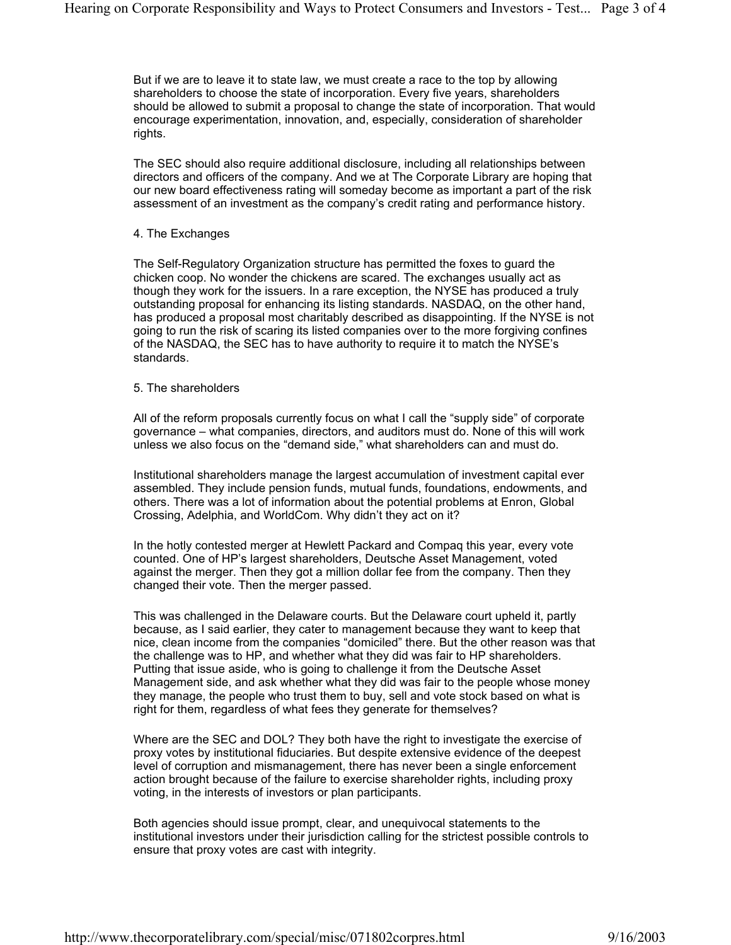But if we are to leave it to state law, we must create a race to the top by allowing shareholders to choose the state of incorporation. Every five years, shareholders should be allowed to submit a proposal to change the state of incorporation. That would encourage experimentation, innovation, and, especially, consideration of shareholder rights.

The SEC should also require additional disclosure, including all relationships between directors and officers of the company. And we at The Corporate Library are hoping that our new board effectiveness rating will someday become as important a part of the risk assessment of an investment as the company's credit rating and performance history.

#### 4. The Exchanges

The Self-Regulatory Organization structure has permitted the foxes to guard the chicken coop. No wonder the chickens are scared. The exchanges usually act as though they work for the issuers. In a rare exception, the NYSE has produced a truly outstanding proposal for enhancing its listing standards. NASDAQ, on the other hand, has produced a proposal most charitably described as disappointing. If the NYSE is not going to run the risk of scaring its listed companies over to the more forgiving confines of the NASDAQ, the SEC has to have authority to require it to match the NYSE's standards.

#### 5. The shareholders

All of the reform proposals currently focus on what I call the "supply side" of corporate governance – what companies, directors, and auditors must do. None of this will work unless we also focus on the "demand side," what shareholders can and must do.

Institutional shareholders manage the largest accumulation of investment capital ever assembled. They include pension funds, mutual funds, foundations, endowments, and others. There was a lot of information about the potential problems at Enron, Global Crossing, Adelphia, and WorldCom. Why didn't they act on it?

In the hotly contested merger at Hewlett Packard and Compaq this year, every vote counted. One of HP's largest shareholders, Deutsche Asset Management, voted against the merger. Then they got a million dollar fee from the company. Then they changed their vote. Then the merger passed.

This was challenged in the Delaware courts. But the Delaware court upheld it, partly because, as I said earlier, they cater to management because they want to keep that nice, clean income from the companies "domiciled" there. But the other reason was that the challenge was to HP, and whether what they did was fair to HP shareholders. Putting that issue aside, who is going to challenge it from the Deutsche Asset Management side, and ask whether what they did was fair to the people whose money they manage, the people who trust them to buy, sell and vote stock based on what is right for them, regardless of what fees they generate for themselves?

Where are the SEC and DOL? They both have the right to investigate the exercise of proxy votes by institutional fiduciaries. But despite extensive evidence of the deepest level of corruption and mismanagement, there has never been a single enforcement action brought because of the failure to exercise shareholder rights, including proxy voting, in the interests of investors or plan participants.

Both agencies should issue prompt, clear, and unequivocal statements to the institutional investors under their jurisdiction calling for the strictest possible controls to ensure that proxy votes are cast with integrity.